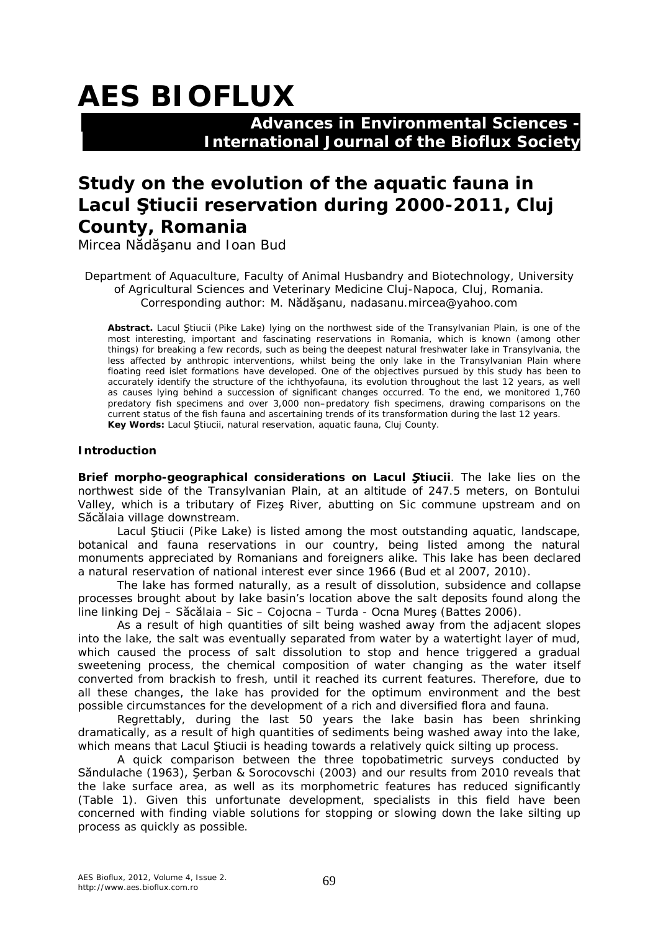# **AES BIOFLUX**

# **Advances in Environmental Sciences - International Journal of the Bioflux Society**

# **Study on the evolution of the aquatic fauna in Lacul Ştiucii reservation during 2000-2011, Cluj County, Romania**

Mircea Nădăşanu and Ioan Bud

Department of Aquaculture, Faculty of Animal Husbandry and Biotechnology, University of Agricultural Sciences and Veterinary Medicine Cluj-Napoca, Cluj, Romania. Corresponding author: M. Nădăşanu, nadasanu.mircea@yahoo.com

**Abstract.** Lacul Ştiucii (Pike Lake) lying on the northwest side of the Transylvanian Plain, is one of the most interesting, important and fascinating reservations in Romania, which is known (among other things) for breaking a few records, such as being the deepest natural freshwater lake in Transylvania, the less affected by anthropic interventions, whilst being the only lake in the Transylvanian Plain where floating reed islet formations have developed. One of the objectives pursued by this study has been to accurately identify the structure of the ichthyofauna, its evolution throughout the last 12 years, as well as causes lying behind a succession of significant changes occurred. To the end, we monitored 1,760 predatory fish specimens and over 3,000 non–predatory fish specimens, drawing comparisons on the current status of the fish fauna and ascertaining trends of its transformation during the last 12 years. **Key Words:** Lacul Ştiucii, natural reservation, aquatic fauna, Cluj County.

#### **Introduction**

*Brief morpho-geographical considerations on Lacul Ştiucii*. The lake lies on the northwest side of the Transylvanian Plain, at an altitude of 247.5 meters, on Bontului Valley, which is a tributary of Fizeş River, abutting on Sic commune upstream and on Săcălaia village downstream.

Lacul Ştiucii (Pike Lake) is listed among the most outstanding aquatic, landscape, botanical and fauna reservations in our country, being listed among the natural monuments appreciated by Romanians and foreigners alike. This lake has been declared a natural reservation of national interest ever since 1966 (Bud et al 2007, 2010).

The lake has formed naturally, as a result of dissolution, subsidence and collapse processes brought about by lake basin's location above the salt deposits found along the line linking Dej – Săcălaia – Sic – Cojocna – Turda - Ocna Mureş (Battes 2006).

As a result of high quantities of silt being washed away from the adjacent slopes into the lake, the salt was eventually separated from water by a watertight layer of mud, which caused the process of salt dissolution to stop and hence triggered a gradual sweetening process, the chemical composition of water changing as the water itself converted from brackish to fresh, until it reached its current features. Therefore, due to all these changes, the lake has provided for the optimum environment and the best possible circumstances for the development of a rich and diversified flora and fauna.

Regrettably, during the last 50 years the lake basin has been shrinking dramatically, as a result of high quantities of sediments being washed away into the lake, which means that Lacul Stiucii is heading towards a relatively quick silting up process.

A quick comparison between the three topobatimetric surveys conducted by Săndulache (1963), Şerban & Sorocovschi (2003) and our results from 2010 reveals that the lake surface area, as well as its morphometric features has reduced significantly (Table 1). Given this unfortunate development, specialists in this field have been concerned with finding viable solutions for stopping or slowing down the lake silting up process as quickly as possible.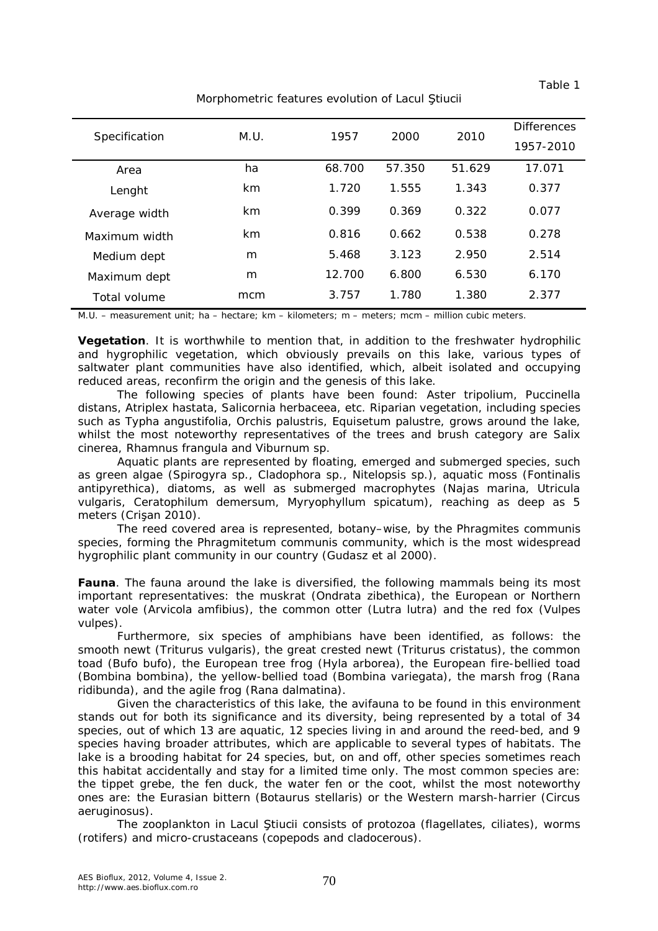| Specification | M.U. | 1957   | <i>2000</i> | 2010   | <b>Differences</b> |
|---------------|------|--------|-------------|--------|--------------------|
|               |      |        |             |        | 1957-2010          |
| Area          | ha   | 68.700 | 57.350      | 51.629 | 17.071             |
| Lenght        | km   | 1.720  | 1.555       | 1.343  | 0.377              |
| Average width | km   | 0.399  | 0.369       | 0.322  | 0.077              |
| Maximum width | km   | 0.816  | 0.662       | 0.538  | 0.278              |
| Medium dept   | m    | 5.468  | 3.123       | 2.950  | 2.514              |
| Maximum dept  | m    | 12.700 | 6.800       | 6.530  | 6.170              |
| Total volume  | mcm  | 3.757  | 1.780       | 1.380  | 2.377              |

Morphometric features evolution of Lacul Ştiucii

Table 1

M.U. – measurement unit; ha – hectare; km – kilometers; m – meters; mcm – million cubic meters.

**Vegetation**. It is worthwhile to mention that, in addition to the freshwater hydrophilic and hygrophilic vegetation, which obviously prevails on this lake, various types of saltwater plant communities have also identified, which, albeit isolated and occupying reduced areas, reconfirm the origin and the genesis of this lake.

The following species of plants have been found: *Aster tripolium, Puccinella distans, Atriplex hastata, Salicornia herbaceea*, etc. Riparian vegetation, including species such as *Typha angustifolia, Orchis palustris, Equisetum palustre*, grows around the lake, whilst the most noteworthy representatives of the trees and brush category are *Salix cinerea, Rhamnus frangula* and *Viburnum sp*.

Aquatic plants are represented by floating, emerged and submerged species, such as green algae (*Spirogyra sp., Cladophora sp., Nitelopsis sp*.), aquatic moss (*Fontinalis antipyrethica*), diatoms, as well as submerged macrophytes (*Najas marina, Utricula vulgaris, Ceratophilum demersum, Myryophyllum spicatum*), reaching as deep as 5 meters (Crişan 2010).

The reed covered area is represented, botany–wise, by the *Phragmites communis* species, forming the *Phragmitetum communis* community, which is the most widespread hygrophilic plant community in our country (Gudasz et al 2000).

*Fauna.* The fauna around the lake is diversified, the following mammals being its most important representatives: the muskrat (*Ondrata zibethica*), the European or Northern water vole (*Arvicola amfibius*), the common otter (*Lutra lutra*) and the red fox (*Vulpes vulpes*).

Furthermore, six species of amphibians have been identified, as follows: the smooth newt (*Triturus vulgaris*), the great crested newt (*Triturus cristatus*), the common toad (*Bufo bufo*), the European tree frog *(Hyla arborea*), the European fire-bellied toad (*Bombina bombina*), the yellow-bellied toad (*Bombina variegata*), the marsh frog (*Rana ridibunda*), and the agile frog (*Rana dalmatina*).

Given the characteristics of this lake, the avifauna to be found in this environment stands out for both its significance and its diversity, being represented by a total of 34 species, out of which 13 are aquatic, 12 species living in and around the reed-bed, and 9 species having broader attributes, which are applicable to several types of habitats. The lake is a brooding habitat for 24 species, but, on and off, other species sometimes reach this habitat accidentally and stay for a limited time only. The most common species are: the tippet grebe, the fen duck, the water fen or the coot, whilst the most noteworthy ones are: the Eurasian bittern (*Botaurus stellaris*) or the Western marsh-harrier (*Circus aeruginosus).*

The zooplankton in Lacul Ştiucii consists of protozoa (flagellates, ciliates), worms (rotifers) and micro-crustaceans (copepods and cladocerous).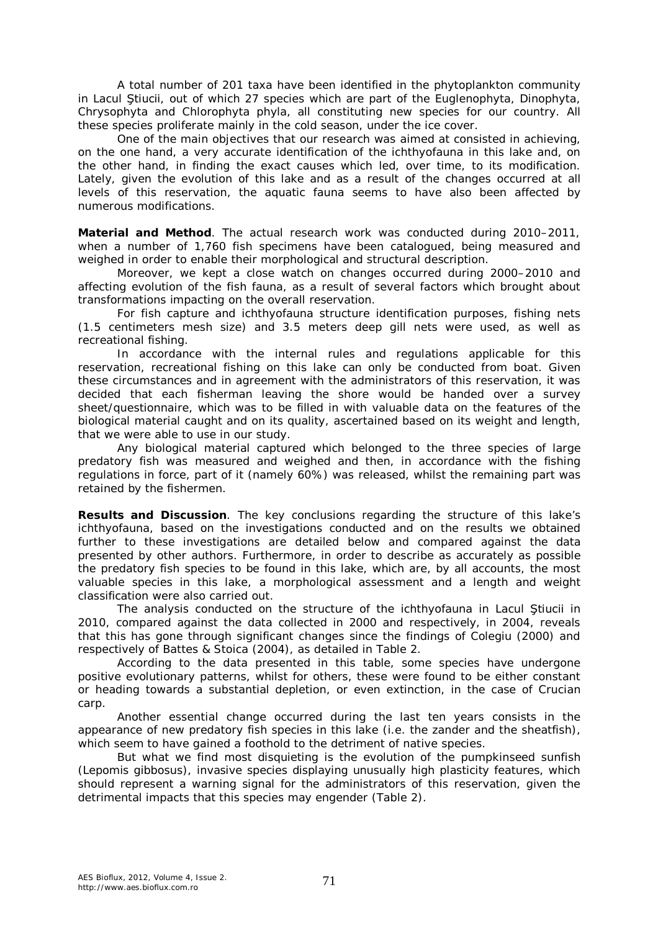A total number of 201 taxa have been identified in the phytoplankton community in Lacul Ştiucii, out of which 27 species which are part of the Euglenophyta, Dinophyta, Chrysophyta and Chlorophyta phyla, all constituting new species for our country. All these species proliferate mainly in the cold season, under the ice cover.

One of the main objectives that our research was aimed at consisted in achieving, on the one hand, a very accurate identification of the ichthyofauna in this lake and, on the other hand, in finding the exact causes which led, over time, to its modification. Lately, given the evolution of this lake and as a result of the changes occurred at all levels of this reservation, the aquatic fauna seems to have also been affected by numerous modifications.

**Material and Method**. The actual research work was conducted during 2010–2011, when a number of 1,760 fish specimens have been catalogued, being measured and weighed in order to enable their morphological and structural description.

Moreover, we kept a close watch on changes occurred during 2000–2010 and affecting evolution of the fish fauna, as a result of several factors which brought about transformations impacting on the overall reservation.

For fish capture and ichthyofauna structure identification purposes, fishing nets (1.5 centimeters mesh size) and 3.5 meters deep gill nets were used, as well as recreational fishing.

In accordance with the internal rules and regulations applicable for this reservation, recreational fishing on this lake can only be conducted from boat. Given these circumstances and in agreement with the administrators of this reservation, it was decided that each fisherman leaving the shore would be handed over a survey sheet/questionnaire, which was to be filled in with valuable data on the features of the biological material caught and on its quality, ascertained based on its weight and length, that we were able to use in our study.

Any biological material captured which belonged to the three species of large predatory fish was measured and weighed and then, in accordance with the fishing regulations in force, part of it (namely 60%) was released, whilst the remaining part was retained by the fishermen.

**Results and Discussion**. The key conclusions regarding the structure of this lake's ichthyofauna, based on the investigations conducted and on the results we obtained further to these investigations are detailed below and compared against the data presented by other authors. Furthermore, in order to describe as accurately as possible the predatory fish species to be found in this lake, which are, by all accounts, the most valuable species in this lake, a morphological assessment and a length and weight classification were also carried out.

The analysis conducted on the structure of the ichthyofauna in Lacul Ştiucii in 2010, compared against the data collected in 2000 and respectively, in 2004, reveals that this has gone through significant changes since the findings of Colegiu (2000) and respectively of Battes & Stoica (2004), as detailed in Table 2.

According to the data presented in this table, some species have undergone positive evolutionary patterns, whilst for others, these were found to be either constant or heading towards a substantial depletion, or even extinction, in the case of Crucian carp.

Another essential change occurred during the last ten years consists in the appearance of new predatory fish species in this lake (i.e. the zander and the sheatfish), which seem to have gained a foothold to the detriment of native species.

But what we find most disquieting is the evolution of the pumpkinseed sunfish (*Lepomis gibbosus*), invasive species displaying unusually high plasticity features, which should represent a warning signal for the administrators of this reservation, given the detrimental impacts that this species may engender (Table 2).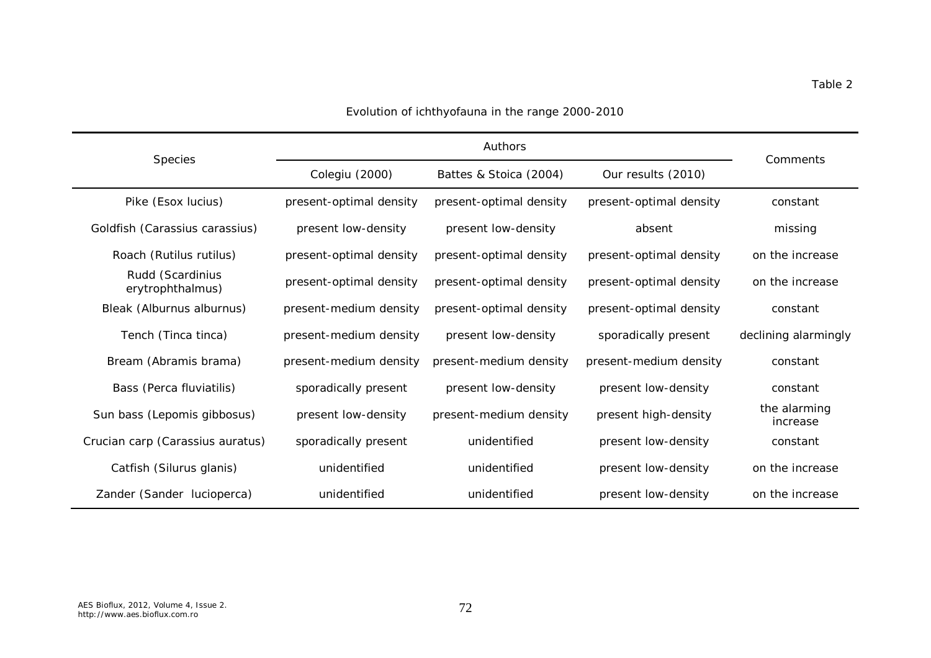Table 2

### Evolution of ichthyofauna in the range 2000-2010

| <b>Species</b>                       |                         | Authors                 |                         | Comments                 |
|--------------------------------------|-------------------------|-------------------------|-------------------------|--------------------------|
|                                      | Colegiu (2000)          | Battes & Stoica (2004)  | Our results (2010)      |                          |
| Pike ( <i>Esox lucius</i> )          | present-optimal density | present-optimal density | present-optimal density | constant                 |
| Goldfish (Carassius carassius)       | present low-density     | present low-density     | absent                  | missing                  |
| Roach (Rutilus rutilus)              | present-optimal density | present-optimal density | present-optimal density | on the increase          |
| Rudd (Scardinius<br>erytrophthalmus) | present-optimal density | present-optimal density | present-optimal density | on the increase          |
| Bleak (Alburnus alburnus)            | present-medium density  | present-optimal density | present-optimal density | constant                 |
| Tench (Tinca tinca)                  | present-medium density  | present low-density     | sporadically present    | declining alarmingly     |
| Bream (Abramis brama)                | present-medium density  | present-medium density  | present-medium density  | constant                 |
| Bass (Perca fluviatilis)             | sporadically present    | present low-density     | present low-density     | constant                 |
| Sun bass (Lepomis gibbosus)          | present low-density     | present-medium density  | present high-density    | the alarming<br>increase |
| Crucian carp (Carassius auratus)     | sporadically present    | unidentified            | present low-density     | constant                 |
| Catfish (Silurus glanis)             | unidentified            | unidentified            | present low-density     | on the increase          |
| Zander (Sander lucioperca)           | unidentified            | unidentified            | present low-density     | on the increase          |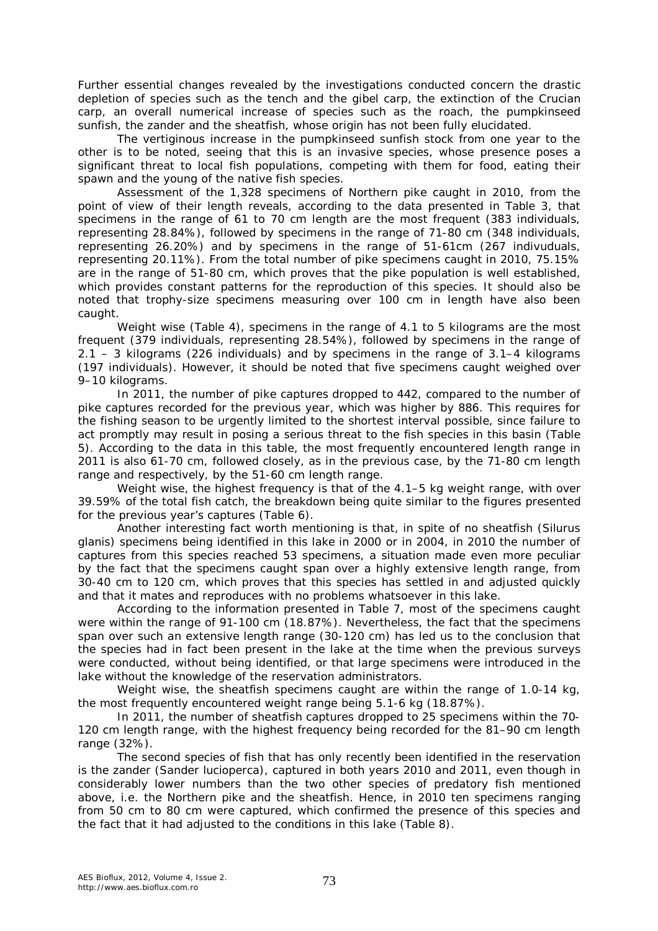Further essential changes revealed by the investigations conducted concern the drastic depletion of species such as the tench and the gibel carp, the extinction of the Crucian carp, an overall numerical increase of species such as the roach, the pumpkinseed sunfish, the zander and the sheatfish, whose origin has not been fully elucidated.

The vertiginous increase in the pumpkinseed sunfish stock from one year to the other is to be noted, seeing that this is an invasive species, whose presence poses a significant threat to local fish populations, competing with them for food, eating their spawn and the young of the native fish species.

Assessment of the 1,328 specimens of Northern pike caught in 2010, from the point of view of their length reveals, according to the data presented in Table 3, that specimens in the range of 61 to 70 cm length are the most frequent (383 individuals, representing 28.84%), followed by specimens in the range of 71-80 cm (348 individuals, representing 26.20%) and by specimens in the range of 51-61cm (267 indivuduals, representing 20.11%). From the total number of pike specimens caught in 2010, 75.15% are in the range of 51-80 cm, which proves that the pike population is well established, which provides constant patterns for the reproduction of this species. It should also be noted that trophy-size specimens measuring over 100 cm in length have also been caught.

Weight wise (Table 4), specimens in the range of 4.1 to 5 kilograms are the most frequent (379 individuals, representing 28.54%), followed by specimens in the range of 2.1 – 3 kilograms (226 individuals) and by specimens in the range of 3.1–4 kilograms (197 individuals). However, it should be noted that five specimens caught weighed over 9–10 kilograms.

In 2011, the number of pike captures dropped to 442, compared to the number of pike captures recorded for the previous year, which was higher by 886. This requires for the fishing season to be urgently limited to the shortest interval possible, since failure to act promptly may result in posing a serious threat to the fish species in this basin (Table 5). According to the data in this table, the most frequently encountered length range in 2011 is also 61-70 cm, followed closely, as in the previous case, by the 71-80 cm length range and respectively, by the 51-60 cm length range.

Weight wise, the highest frequency is that of the 4.1–5 kg weight range, with over 39.59% of the total fish catch, the breakdown being quite similar to the figures presented for the previous year's captures (Table 6).

Another interesting fact worth mentioning is that, in spite of no sheatfish (*Silurus glanis*) specimens being identified in this lake in 2000 or in 2004, in 2010 the number of captures from this species reached 53 specimens, a situation made even more peculiar by the fact that the specimens caught span over a highly extensive length range, from 30-40 cm to 120 cm, which proves that this species has settled in and adjusted quickly and that it mates and reproduces with no problems whatsoever in this lake.

According to the information presented in Table 7, most of the specimens caught were within the range of 91-100 cm (18.87%). Nevertheless, the fact that the specimens span over such an extensive length range (30-120 cm) has led us to the conclusion that the species had in fact been present in the lake at the time when the previous surveys were conducted, without being identified, or that large specimens were introduced in the lake without the knowledge of the reservation administrators.

Weight wise, the sheatfish specimens caught are within the range of 1.0-14 kg, the most frequently encountered weight range being 5.1-6 kg (18.87%).

In 2011, the number of sheatfish captures dropped to 25 specimens within the 70- 120 cm length range, with the highest frequency being recorded for the 81–90 cm length range (32%).

The second species of fish that has only recently been identified in the reservation is the zander (*Sander lucioperca*), captured in both years 2010 and 2011, even though in considerably lower numbers than the two other species of predatory fish mentioned above, i.e. the Northern pike and the sheatfish. Hence, in 2010 ten specimens ranging from 50 cm to 80 cm were captured, which confirmed the presence of this species and the fact that it had adjusted to the conditions in this lake (Table 8).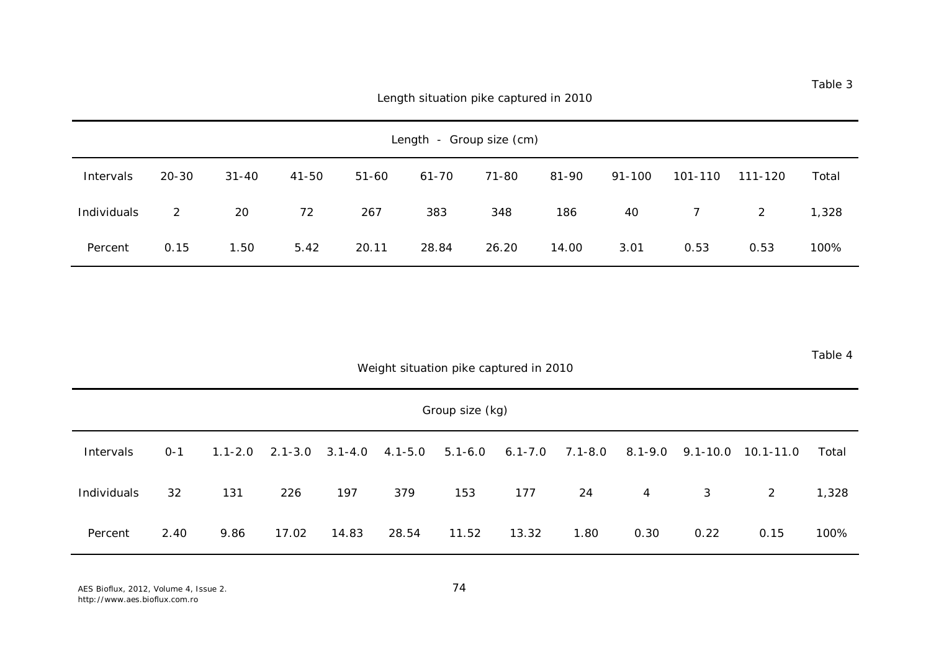| Length - Group size (cm) |           |           |       |           |       |       |       |        |                |         |       |
|--------------------------|-----------|-----------|-------|-----------|-------|-------|-------|--------|----------------|---------|-------|
| Intervals                | $20 - 30$ | $31 - 40$ | 41-50 | $51 - 60$ | 61-70 | 71-80 | 81-90 | 91-100 | 101-110        | 111-120 | Total |
| Individuals              | 2         | 20        | 72    | 267       | 383   | 348   | 186   | 40     | $\overline{7}$ | 2       | 1,328 |
| Percent                  | 0.15      | 1.50      | 5.42  | 20.11     | 28.84 | 26.20 | 14.00 | 3.01   | 0.53           | 0.53    | 100%  |

Table 4

Weight situation pike captured in 2010

|             | Group size (kg) |             |       |                         |             |             |             |         |             |              |               |       |
|-------------|-----------------|-------------|-------|-------------------------|-------------|-------------|-------------|---------|-------------|--------------|---------------|-------|
| Intervals   | $0 - 1$         | $1.1 - 2.0$ |       | $2.1 - 3.0$ $3.1 - 4.0$ | $4.1 - 5.0$ | $5.1 - 6.0$ | $6.1 - 7.0$ | 7.1-8.0 | $8.1 - 9.0$ | $9.1 - 10.0$ | $10.1 - 11.0$ | Total |
| Individuals | 32              | 131         | 226   | 197                     | 379         | 153         | 177         | 24      | 4           | 3            | 2             | 1,328 |
| Percent     | 2.40            | 9.86        | 17.02 | 14.83                   | 28.54       | 11.52       | 13.32       | 1.80    | 0.30        | 0.22         | 0.15          | 100%  |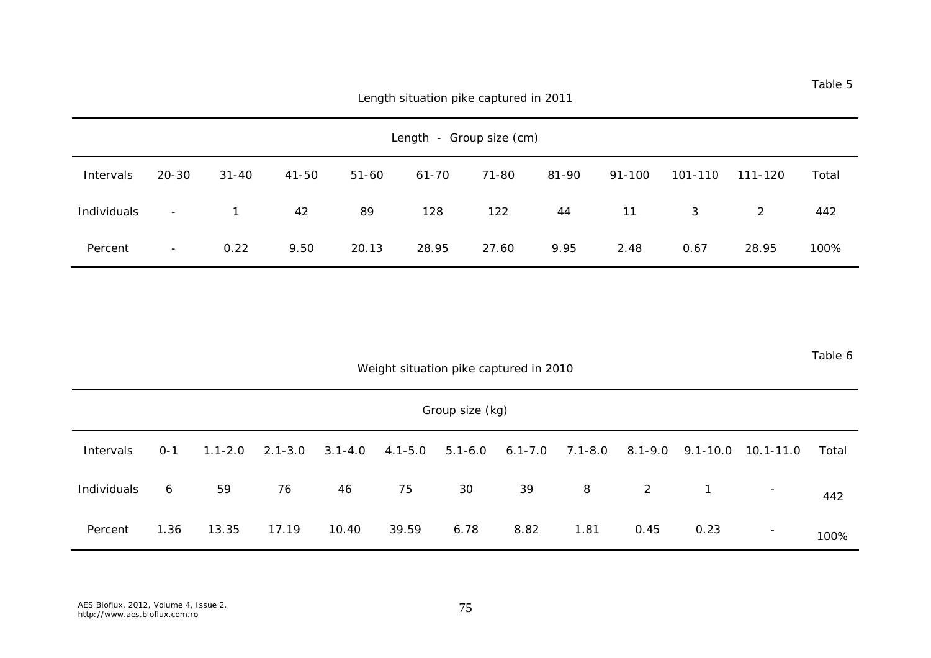| Length - Group size (cm) |        |       |       |       |       |       |       |        |         |         |       |
|--------------------------|--------|-------|-------|-------|-------|-------|-------|--------|---------|---------|-------|
| Intervals                | 20-30  | 31-40 | 41-50 | 51-60 | 61-70 | 71-80 | 81-90 | 91-100 | 101-110 | 111-120 | Total |
| Individuals              | $\sim$ |       | 42    | 89    | 128   | 122   | 44    | 11     | 3       | 2       | 442   |
| Percent                  | $\sim$ | 0.22  | 9.50  | 20.13 | 28.95 | 27.60 | 9.95  | 2.48   | 0.67    | 28.95   | 100%  |

Table 6

Weight situation pike captured in 2010

| Group size (kg) |         |             |             |             |             |             |             |             |             |                |                          |       |
|-----------------|---------|-------------|-------------|-------------|-------------|-------------|-------------|-------------|-------------|----------------|--------------------------|-------|
| Intervals       | $O - 1$ | $1.1 - 2.0$ | $2.1 - 3.0$ | $3.1 - 4.0$ | $4.1 - 5.0$ | $5.1 - 6.0$ | $6.1 - 7.0$ | $7.1 - 8.0$ | $8.1 - 9.0$ | $9.1 - 10.0$   | $10.1 - 11.0$            | Total |
| Individuals     | 6       | 59          | 76          | 46          | 75          | 30          | 39          | 8           | 2           | $\overline{1}$ | $\overline{\phantom{a}}$ | 442   |
| Percent         | 1.36    | 13.35       | 17.19       | 10.40       | 39.59       | 6.78        | 8.82        | 1.81        | 0.45        | 0.23           | $\overline{\phantom{a}}$ | 100%  |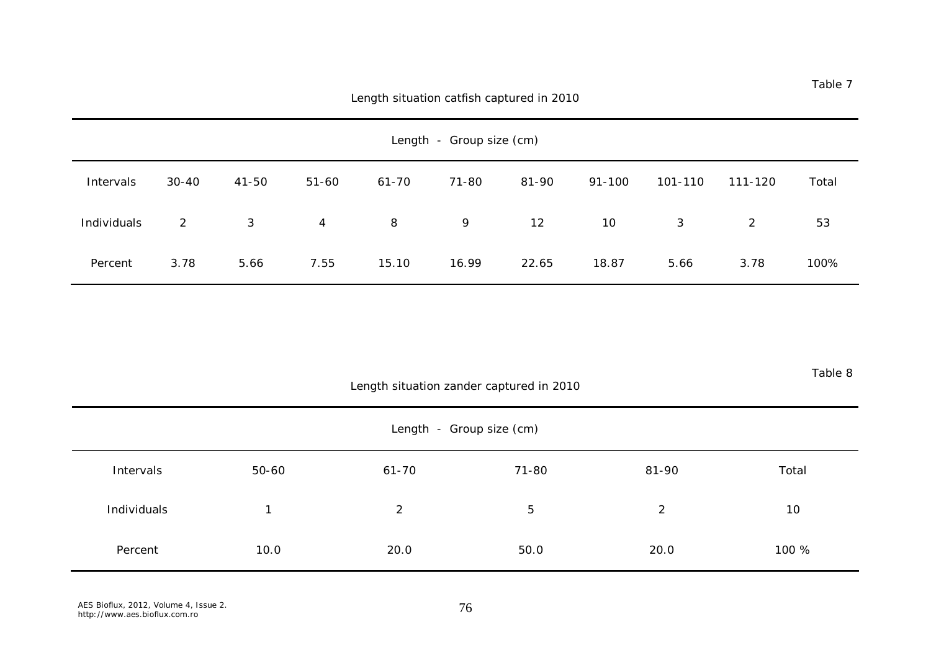| Length - Group size (cm) |           |                |                |           |       |       |            |         |         |       |  |
|--------------------------|-----------|----------------|----------------|-----------|-------|-------|------------|---------|---------|-------|--|
| Intervals                | $30 - 40$ | 41-50          | $51 - 60$      | $61 - 70$ | 71-80 | 81-90 | $91 - 100$ | 101-110 | 111-120 | Total |  |
| Individuals              | 2         | 3 <sup>1</sup> | $\overline{4}$ | 8         | 9     | 12    | 10         | 3       | 2       | 53    |  |
| Percent                  | 3.78      | 5.66           | 7.55           | 15.10     | 16.99 | 22.65 | 18.87      | 5.66    | 3.78    | 100%  |  |

Length situation zander captured in 2010

Table 8

| Length - Group size (cm) |              |           |       |       |       |  |  |  |  |  |
|--------------------------|--------------|-----------|-------|-------|-------|--|--|--|--|--|
| Intervals                | 50-60        | $61 - 70$ | 71-80 | 81-90 | Total |  |  |  |  |  |
| Individuals              | $\mathbf{1}$ | 2         | 5     | 2     | 10    |  |  |  |  |  |
| Percent                  | 10.0         | 20.0      | 50.0  | 20.0  | 100 % |  |  |  |  |  |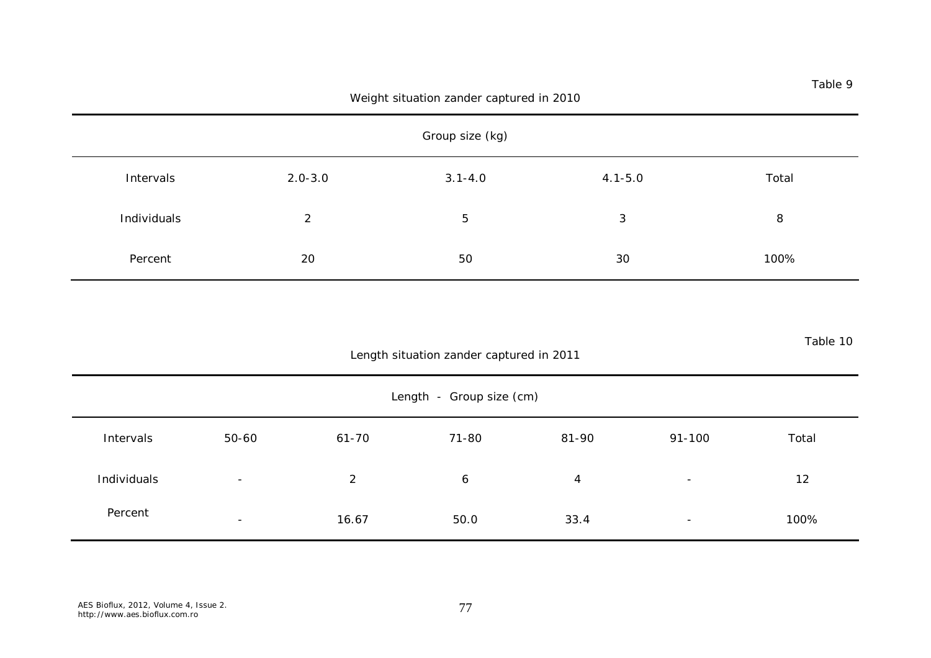| Group size (kg) |             |             |             |       |  |  |  |  |  |
|-----------------|-------------|-------------|-------------|-------|--|--|--|--|--|
| Intervals       | $2.0 - 3.0$ | $3.1 - 4.0$ | $4.1 - 5.0$ | Total |  |  |  |  |  |
| Individuals     | 2           | 5           | 3           | 8     |  |  |  |  |  |
| Percent         | 20          | 50          | 30          | 100%  |  |  |  |  |  |

Table 10

## Length situation zander captured in 2011

| Length - Group size (cm) |                          |           |       |       |                          |       |  |  |  |  |
|--------------------------|--------------------------|-----------|-------|-------|--------------------------|-------|--|--|--|--|
| Intervals                | 50-60                    | $61 - 70$ | 71-80 | 81-90 | $91 - 100$               | Total |  |  |  |  |
| Individuals              | $\overline{\phantom{a}}$ | 2         | 6     | 4     | $\overline{\phantom{a}}$ | 12    |  |  |  |  |
| Percent                  | $\sim$                   | 16.67     | 50.0  | 33.4  | $\overline{\phantom{a}}$ | 100%  |  |  |  |  |